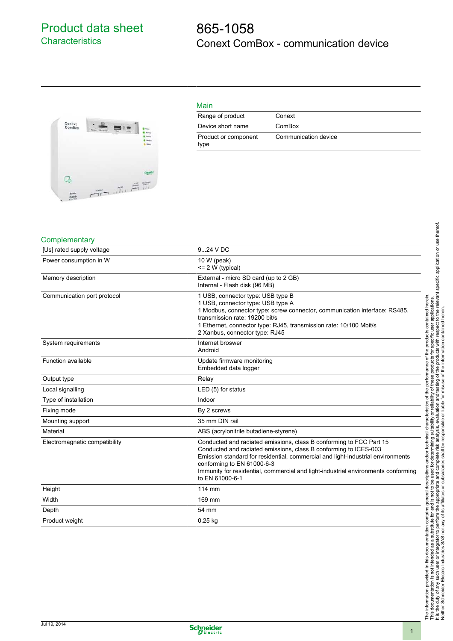## Product data sheet **Characteristics**

## 865-1058 Conext ComBox - communication device



| Main                         |                      |
|------------------------------|----------------------|
| Range of product             | Conext               |
| Device short name            | ComBox               |
| Product or component<br>type | Communication device |

## **Complementary**

| [Us] rated supply voltage     | 924 V DC                                                                                                                                                                                                                                                                                                                                                         |
|-------------------------------|------------------------------------------------------------------------------------------------------------------------------------------------------------------------------------------------------------------------------------------------------------------------------------------------------------------------------------------------------------------|
| Power consumption in W        | 10 W (peak)<br>$= 2 W$ (typical)                                                                                                                                                                                                                                                                                                                                 |
| Memory description            | External - micro SD card (up to 2 GB)<br>Internal - Flash disk (96 MB)                                                                                                                                                                                                                                                                                           |
| Communication port protocol   | 1 USB, connector type: USB type B<br>1 USB, connector type: USB type A<br>1 Modbus, connector type: screw connector, communication interface: RS485,<br>transmission rate: 19200 bit/s<br>1 Ethernet, connector type: RJ45, transmission rate: 10/100 Mbit/s<br>2 Xanbus, connector type: RJ45                                                                   |
| System requirements           | Internet broswer<br>Android                                                                                                                                                                                                                                                                                                                                      |
| Function available            | Update firmware monitoring<br>Embedded data logger                                                                                                                                                                                                                                                                                                               |
| Output type                   | Relay                                                                                                                                                                                                                                                                                                                                                            |
| Local signalling              | LED (5) for status                                                                                                                                                                                                                                                                                                                                               |
| Type of installation          | Indoor                                                                                                                                                                                                                                                                                                                                                           |
| Fixing mode                   | By 2 screws                                                                                                                                                                                                                                                                                                                                                      |
| Mounting support              | 35 mm DIN rail                                                                                                                                                                                                                                                                                                                                                   |
| Material                      | ABS (acrylonitrile butadiene-styrene)                                                                                                                                                                                                                                                                                                                            |
| Electromagnetic compatibility | Conducted and radiated emissions, class B conforming to FCC Part 15<br>Conducted and radiated emissions, class B conforming to ICES-003<br>Emission standard for residential, commercial and light-industrial environments<br>conforming to EN 61000-6-3<br>Immunity for residential, commercial and light-industrial environments conforming<br>to EN 61000-6-1 |
| Height                        | 114 mm                                                                                                                                                                                                                                                                                                                                                           |
| Width                         | 169 mm                                                                                                                                                                                                                                                                                                                                                           |
| Depth                         | 54 mm                                                                                                                                                                                                                                                                                                                                                            |
| Product weight                | $0.25$ kg                                                                                                                                                                                                                                                                                                                                                        |